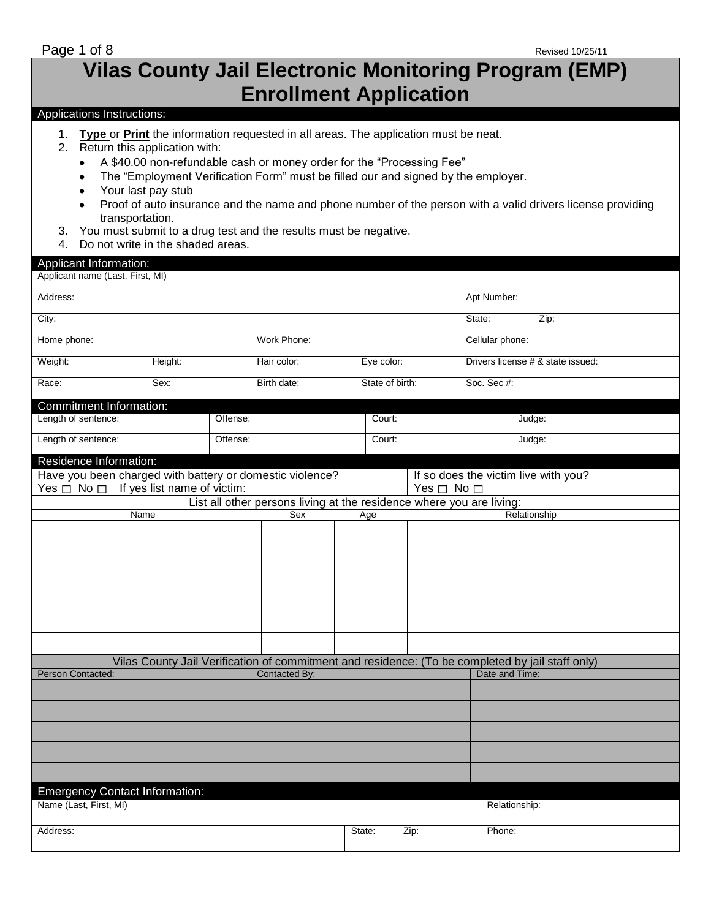# **Vilas County Jail Electronic Monitoring Program (EMP) Enrollment Application**

# Applications Instructions:

- 1. **Type** or **Print** the information requested in all areas. The application must be neat.
- 2. Return this application with:
	- A \$40.00 non-refundable cash or money order for the "Processing Fee"  $\bullet$
	- The "Employment Verification Form" must be filled our and signed by the employer.  $\bullet$
	- $\bullet$ Your last pay stub
	- Proof of auto insurance and the name and phone number of the person with a valid drivers license providing transportation.
- 3. You must submit to a drug test and the results must be negative.
- 4. Do not write in the shaded areas.

# Applicant Information:

| Applicant name (Last, First, MI) |  |  |  |
|----------------------------------|--|--|--|
|----------------------------------|--|--|--|

| Address:                                                 |             |          |                                                                                                  |        |                 |                                                                                      |                                   | Apt Number: |  |  |
|----------------------------------------------------------|-------------|----------|--------------------------------------------------------------------------------------------------|--------|-----------------|--------------------------------------------------------------------------------------|-----------------------------------|-------------|--|--|
| City:                                                    |             |          |                                                                                                  |        |                 |                                                                                      |                                   | Zip:        |  |  |
| Home phone:                                              | Work Phone: |          |                                                                                                  |        | Cellular phone: |                                                                                      |                                   |             |  |  |
| Weight:                                                  | Height:     |          | Hair color:                                                                                      |        | Eye color:      |                                                                                      | Drivers license # & state issued: |             |  |  |
| Race:                                                    | Sex:        |          | Birth date:                                                                                      |        | State of birth: |                                                                                      | Soc. Sec #:                       |             |  |  |
| Commitment Information:                                  |             |          |                                                                                                  |        |                 |                                                                                      |                                   |             |  |  |
| Length of sentence:                                      |             | Offense: | Court:                                                                                           |        |                 |                                                                                      |                                   | Judge:      |  |  |
| Length of sentence:                                      |             | Offense: |                                                                                                  | Court: |                 |                                                                                      |                                   | Judge:      |  |  |
| Residence Information:                                   |             |          |                                                                                                  |        |                 |                                                                                      |                                   |             |  |  |
| Have you been charged with battery or domestic violence? |             |          |                                                                                                  |        |                 | If so does the victim live with you?                                                 |                                   |             |  |  |
| Yes $\Box$ No $\Box$ If yes list name of victim:         |             |          |                                                                                                  |        |                 | Yes □ No □                                                                           |                                   |             |  |  |
|                                                          |             |          |                                                                                                  |        |                 | List all other persons living at the residence where you are living:<br>Relationship |                                   |             |  |  |
| Name                                                     |             |          | Sex                                                                                              | Age    |                 |                                                                                      |                                   |             |  |  |
|                                                          |             |          |                                                                                                  |        |                 |                                                                                      |                                   |             |  |  |
|                                                          |             |          |                                                                                                  |        |                 |                                                                                      |                                   |             |  |  |
|                                                          |             |          |                                                                                                  |        |                 |                                                                                      |                                   |             |  |  |
|                                                          |             |          |                                                                                                  |        |                 |                                                                                      |                                   |             |  |  |
|                                                          |             |          |                                                                                                  |        |                 |                                                                                      |                                   |             |  |  |
|                                                          |             |          |                                                                                                  |        |                 |                                                                                      |                                   |             |  |  |
|                                                          |             |          |                                                                                                  |        |                 |                                                                                      |                                   |             |  |  |
|                                                          |             |          | Vilas County Jail Verification of commitment and residence: (To be completed by jail staff only) |        |                 |                                                                                      |                                   |             |  |  |
| Person Contacted:                                        |             |          | Contacted By:                                                                                    |        |                 |                                                                                      | Date and Time:                    |             |  |  |
|                                                          |             |          |                                                                                                  |        |                 |                                                                                      |                                   |             |  |  |
|                                                          |             |          |                                                                                                  |        |                 |                                                                                      |                                   |             |  |  |
|                                                          |             |          |                                                                                                  |        |                 |                                                                                      |                                   |             |  |  |
|                                                          |             |          |                                                                                                  |        |                 |                                                                                      |                                   |             |  |  |
|                                                          |             |          |                                                                                                  |        |                 |                                                                                      |                                   |             |  |  |
|                                                          |             |          |                                                                                                  |        |                 |                                                                                      |                                   |             |  |  |
| <b>Emergency Contact Information:</b>                    |             |          |                                                                                                  |        |                 |                                                                                      |                                   |             |  |  |
| Name (Last, First, MI)                                   |             |          |                                                                                                  |        | Relationship:   |                                                                                      |                                   |             |  |  |
| Address:                                                 |             |          |                                                                                                  | State: | Zip:            |                                                                                      | Phone:                            |             |  |  |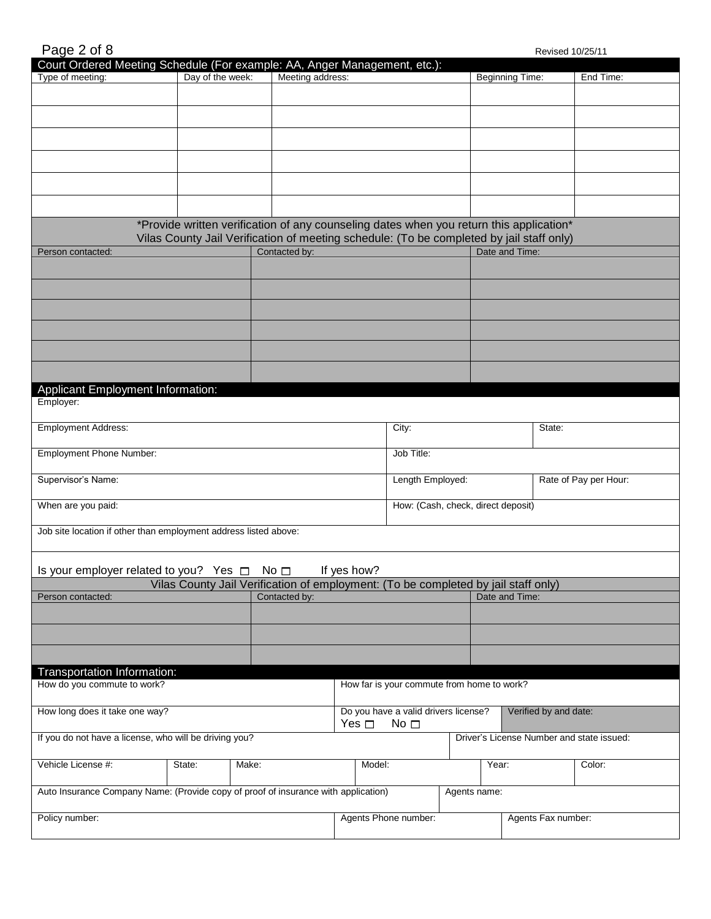| Page 2 of 8 |  |  |
|-------------|--|--|
|             |  |  |

| Court Ordered Meeting Schedule (For example: AA, Anger Management, etc.):<br>Type of meeting: | Day of the week: | Meeting address:                                                                                                                                                                    |             |                                                      |              |       | Beginning Time: |                       | End Time:                                 |
|-----------------------------------------------------------------------------------------------|------------------|-------------------------------------------------------------------------------------------------------------------------------------------------------------------------------------|-------------|------------------------------------------------------|--------------|-------|-----------------|-----------------------|-------------------------------------------|
|                                                                                               |                  |                                                                                                                                                                                     |             |                                                      |              |       |                 |                       |                                           |
|                                                                                               |                  |                                                                                                                                                                                     |             |                                                      |              |       |                 |                       |                                           |
|                                                                                               |                  |                                                                                                                                                                                     |             |                                                      |              |       |                 |                       |                                           |
|                                                                                               |                  |                                                                                                                                                                                     |             |                                                      |              |       |                 |                       |                                           |
|                                                                                               |                  |                                                                                                                                                                                     |             |                                                      |              |       |                 |                       |                                           |
|                                                                                               |                  |                                                                                                                                                                                     |             |                                                      |              |       |                 |                       |                                           |
|                                                                                               |                  | *Provide written verification of any counseling dates when you return this application*<br>Vilas County Jail Verification of meeting schedule: (To be completed by jail staff only) |             |                                                      |              |       |                 |                       |                                           |
| Person contacted:                                                                             |                  | Contacted by:                                                                                                                                                                       |             |                                                      |              |       | Date and Time:  |                       |                                           |
|                                                                                               |                  |                                                                                                                                                                                     |             |                                                      |              |       |                 |                       |                                           |
|                                                                                               |                  |                                                                                                                                                                                     |             |                                                      |              |       |                 |                       |                                           |
|                                                                                               |                  |                                                                                                                                                                                     |             |                                                      |              |       |                 |                       |                                           |
|                                                                                               |                  |                                                                                                                                                                                     |             |                                                      |              |       |                 |                       |                                           |
|                                                                                               |                  |                                                                                                                                                                                     |             |                                                      |              |       |                 |                       |                                           |
| <b>Applicant Employment Information:</b>                                                      |                  |                                                                                                                                                                                     |             |                                                      |              |       |                 |                       |                                           |
| Employer:                                                                                     |                  |                                                                                                                                                                                     |             |                                                      |              |       |                 |                       |                                           |
| <b>Employment Address:</b>                                                                    |                  |                                                                                                                                                                                     |             | City:                                                |              |       |                 | State:                |                                           |
| Employment Phone Number:                                                                      |                  |                                                                                                                                                                                     |             | Job Title:                                           |              |       |                 |                       |                                           |
| Supervisor's Name:                                                                            |                  |                                                                                                                                                                                     |             | Length Employed:                                     |              |       |                 | Rate of Pay per Hour: |                                           |
| When are you paid:                                                                            |                  |                                                                                                                                                                                     |             | How: (Cash, check, direct deposit)                   |              |       |                 |                       |                                           |
| Job site location if other than employment address listed above:                              |                  |                                                                                                                                                                                     |             |                                                      |              |       |                 |                       |                                           |
|                                                                                               |                  |                                                                                                                                                                                     |             |                                                      |              |       |                 |                       |                                           |
| Is your employer related to you? Yes $\Box$                                                   |                  | No $\square$                                                                                                                                                                        | If yes how? |                                                      |              |       |                 |                       |                                           |
| Person contacted:                                                                             |                  | Vilas County Jail Verification of employment: (To be completed by jail staff only)<br>Contacted by:                                                                                 |             |                                                      |              |       | Date and Time:  |                       |                                           |
|                                                                                               |                  |                                                                                                                                                                                     |             |                                                      |              |       |                 |                       |                                           |
|                                                                                               |                  |                                                                                                                                                                                     |             |                                                      |              |       |                 |                       |                                           |
|                                                                                               |                  |                                                                                                                                                                                     |             |                                                      |              |       |                 |                       |                                           |
| Transportation Information:<br>How do you commute to work?                                    |                  |                                                                                                                                                                                     |             | How far is your commute from home to work?           |              |       |                 |                       |                                           |
|                                                                                               |                  |                                                                                                                                                                                     |             |                                                      |              |       |                 |                       |                                           |
| How long does it take one way?                                                                |                  |                                                                                                                                                                                     | Yes $\Box$  | Do you have a valid drivers license?<br>No $\square$ |              |       |                 | Verified by and date: |                                           |
| If you do not have a license, who will be driving you?                                        |                  |                                                                                                                                                                                     |             |                                                      |              |       |                 |                       | Driver's License Number and state issued: |
| Vehicle License #:                                                                            | State:           | Make:                                                                                                                                                                               | Model:      |                                                      |              | Year: |                 |                       | Color:                                    |
| Auto Insurance Company Name: (Provide copy of proof of insurance with application)            |                  |                                                                                                                                                                                     |             |                                                      | Agents name: |       |                 |                       |                                           |
| Policy number:                                                                                |                  |                                                                                                                                                                                     |             | Agents Phone number:                                 |              |       |                 | Agents Fax number:    |                                           |
|                                                                                               |                  |                                                                                                                                                                                     |             |                                                      |              |       |                 |                       |                                           |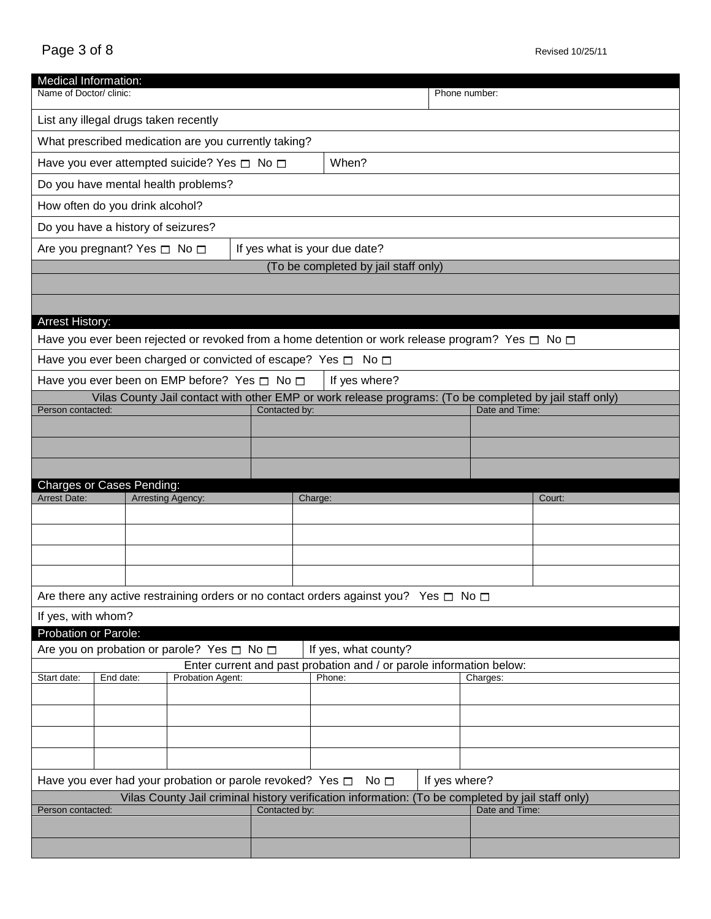| Medical Information:                                                                              |                                                                                                                |  |                                                        |               |               |                                                                                                            |               |                                                                                                         |  |
|---------------------------------------------------------------------------------------------------|----------------------------------------------------------------------------------------------------------------|--|--------------------------------------------------------|---------------|---------------|------------------------------------------------------------------------------------------------------------|---------------|---------------------------------------------------------------------------------------------------------|--|
| Name of Doctor/ clinic:                                                                           |                                                                                                                |  |                                                        |               |               |                                                                                                            | Phone number: |                                                                                                         |  |
| List any illegal drugs taken recently                                                             |                                                                                                                |  |                                                        |               |               |                                                                                                            |               |                                                                                                         |  |
|                                                                                                   |                                                                                                                |  | What prescribed medication are you currently taking?   |               |               |                                                                                                            |               |                                                                                                         |  |
|                                                                                                   | Have you ever attempted suicide? Yes □ No □<br>When?                                                           |  |                                                        |               |               |                                                                                                            |               |                                                                                                         |  |
|                                                                                                   |                                                                                                                |  | Do you have mental health problems?                    |               |               |                                                                                                            |               |                                                                                                         |  |
| How often do you drink alcohol?                                                                   |                                                                                                                |  |                                                        |               |               |                                                                                                            |               |                                                                                                         |  |
|                                                                                                   | Do you have a history of seizures?                                                                             |  |                                                        |               |               |                                                                                                            |               |                                                                                                         |  |
|                                                                                                   | Are you pregnant? Yes □ No □<br>If yes what is your due date?                                                  |  |                                                        |               |               |                                                                                                            |               |                                                                                                         |  |
|                                                                                                   |                                                                                                                |  |                                                        |               |               | (To be completed by jail staff only)                                                                       |               |                                                                                                         |  |
|                                                                                                   |                                                                                                                |  |                                                        |               |               |                                                                                                            |               |                                                                                                         |  |
| <b>Arrest History:</b>                                                                            |                                                                                                                |  |                                                        |               |               |                                                                                                            |               |                                                                                                         |  |
|                                                                                                   |                                                                                                                |  |                                                        |               |               | Have you ever been rejected or revoked from a home detention or work release program? Yes $\Box$ No $\Box$ |               |                                                                                                         |  |
|                                                                                                   |                                                                                                                |  |                                                        |               |               | Have you ever been charged or convicted of escape? Yes $\Box$ No $\Box$                                    |               |                                                                                                         |  |
|                                                                                                   |                                                                                                                |  | Have you ever been on EMP before? Yes $\Box$ No $\Box$ |               |               | If yes where?                                                                                              |               |                                                                                                         |  |
|                                                                                                   |                                                                                                                |  |                                                        |               |               |                                                                                                            |               | Vilas County Jail contact with other EMP or work release programs: (To be completed by jail staff only) |  |
| Person contacted:                                                                                 |                                                                                                                |  |                                                        | Contacted by: |               |                                                                                                            |               | Date and Time:                                                                                          |  |
|                                                                                                   |                                                                                                                |  |                                                        |               |               |                                                                                                            |               |                                                                                                         |  |
|                                                                                                   |                                                                                                                |  |                                                        |               |               |                                                                                                            |               |                                                                                                         |  |
|                                                                                                   |                                                                                                                |  |                                                        |               |               |                                                                                                            |               |                                                                                                         |  |
| <b>Charges or Cases Pending:</b><br><b>Arrest Date:</b>                                           |                                                                                                                |  | <b>Arresting Agency:</b>                               |               | Charge:       |                                                                                                            |               | Court:                                                                                                  |  |
|                                                                                                   |                                                                                                                |  |                                                        |               |               |                                                                                                            |               |                                                                                                         |  |
|                                                                                                   |                                                                                                                |  |                                                        |               |               |                                                                                                            |               |                                                                                                         |  |
|                                                                                                   |                                                                                                                |  |                                                        |               |               |                                                                                                            |               |                                                                                                         |  |
|                                                                                                   |                                                                                                                |  |                                                        |               |               |                                                                                                            |               |                                                                                                         |  |
|                                                                                                   |                                                                                                                |  |                                                        |               |               | Are there any active restraining orders or no contact orders against you? Yes $\square$ No $\square$       |               |                                                                                                         |  |
| If yes, with whom?                                                                                |                                                                                                                |  |                                                        |               |               |                                                                                                            |               |                                                                                                         |  |
| Probation or Parole:                                                                              |                                                                                                                |  |                                                        |               |               |                                                                                                            |               |                                                                                                         |  |
| Are you on probation or parole? Yes □ No □<br>If yes, what county?                                |                                                                                                                |  |                                                        |               |               |                                                                                                            |               |                                                                                                         |  |
| Start date:                                                                                       | Enter current and past probation and / or parole information below:<br>Phone:<br>End date:<br>Probation Agent: |  |                                                        |               |               |                                                                                                            | Charges:      |                                                                                                         |  |
|                                                                                                   |                                                                                                                |  |                                                        |               |               |                                                                                                            |               |                                                                                                         |  |
|                                                                                                   |                                                                                                                |  |                                                        |               |               |                                                                                                            |               |                                                                                                         |  |
|                                                                                                   |                                                                                                                |  |                                                        |               |               |                                                                                                            |               |                                                                                                         |  |
|                                                                                                   |                                                                                                                |  |                                                        |               |               |                                                                                                            |               |                                                                                                         |  |
| If yes where?<br>Have you ever had your probation or parole revoked? Yes $\Box$<br>No $\square$   |                                                                                                                |  |                                                        |               |               |                                                                                                            |               |                                                                                                         |  |
| Vilas County Jail criminal history verification information: (To be completed by jail staff only) |                                                                                                                |  |                                                        |               |               |                                                                                                            |               |                                                                                                         |  |
| Person contacted:                                                                                 |                                                                                                                |  |                                                        |               | Contacted by: |                                                                                                            |               | Date and Time:                                                                                          |  |
|                                                                                                   |                                                                                                                |  |                                                        |               |               |                                                                                                            |               |                                                                                                         |  |
|                                                                                                   |                                                                                                                |  |                                                        |               |               |                                                                                                            |               |                                                                                                         |  |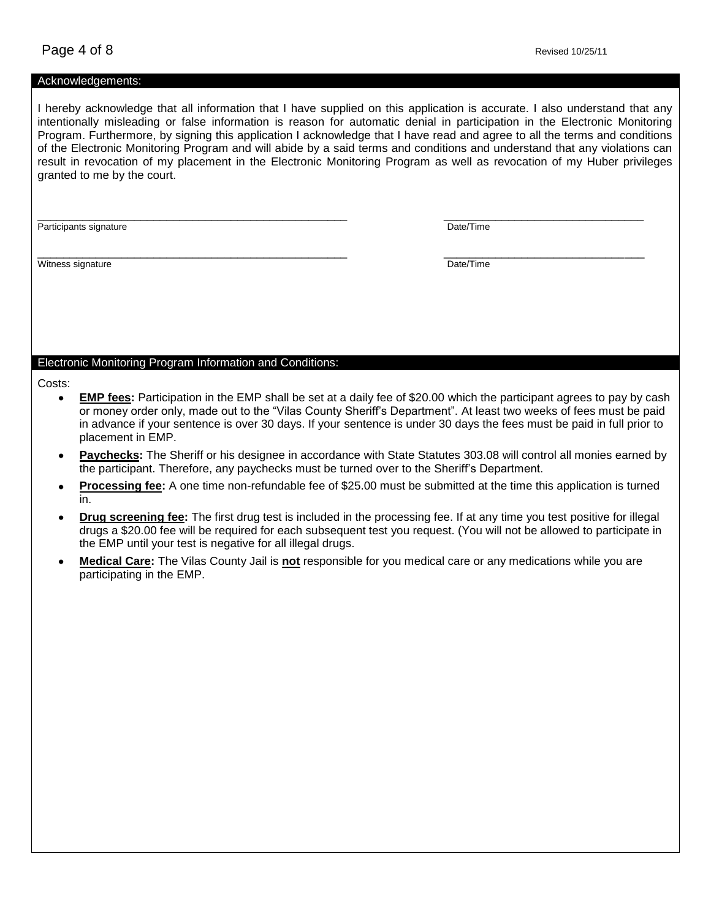#### Acknowledgements:

I hereby acknowledge that all information that I have supplied on this application is accurate. I also understand that any intentionally misleading or false information is reason for automatic denial in participation in the Electronic Monitoring Program. Furthermore, by signing this application I acknowledge that I have read and agree to all the terms and conditions of the Electronic Monitoring Program and will abide by a said terms and conditions and understand that any violations can result in revocation of my placement in the Electronic Monitoring Program as well as revocation of my Huber privileges granted to me by the court.

\_\_\_\_\_\_\_\_\_\_\_\_\_\_\_\_\_\_\_\_\_\_\_\_\_\_\_\_\_\_\_\_\_\_\_\_\_\_\_\_\_\_\_\_\_\_\_\_ \_\_\_\_\_\_\_\_\_\_\_\_\_\_\_\_\_\_\_\_\_\_\_\_\_\_\_\_\_\_\_

Participants signature **Date/Time** 

\_\_\_\_\_\_\_\_\_\_\_\_\_\_\_\_\_\_\_\_\_\_\_\_\_\_\_\_\_\_\_\_\_\_\_\_\_\_\_\_\_\_\_\_\_\_\_\_ \_\_\_\_\_\_\_\_\_\_\_\_\_\_\_\_\_\_\_\_\_\_\_\_\_\_\_\_\_\_\_ Witness signature Date/Time Date/Time Date/Time Date/Time

#### Electronic Monitoring Program Information and Conditions:

- Costs:
	- **EMP fees:** Participation in the EMP shall be set at a daily fee of \$20.00 which the participant agrees to pay by cash or money order only, made out to the "Vilas County Sheriff's Department". At least two weeks of fees must be paid in advance if your sentence is over 30 days. If your sentence is under 30 days the fees must be paid in full prior to placement in EMP.
	- **Paychecks:** The Sheriff or his designee in accordance with State Statutes 303.08 will control all monies earned by the participant. Therefore, any paychecks must be turned over to the Sheriff's Department.
	- **Processing fee:** A one time non-refundable fee of \$25.00 must be submitted at the time this application is turned in.
	- **Drug screening fee:** The first drug test is included in the processing fee. If at any time you test positive for illegal drugs a \$20.00 fee will be required for each subsequent test you request. (You will not be allowed to participate in the EMP until your test is negative for all illegal drugs.
	- **Medical Care:** The Vilas County Jail is **not** responsible for you medical care or any medications while you are participating in the EMP.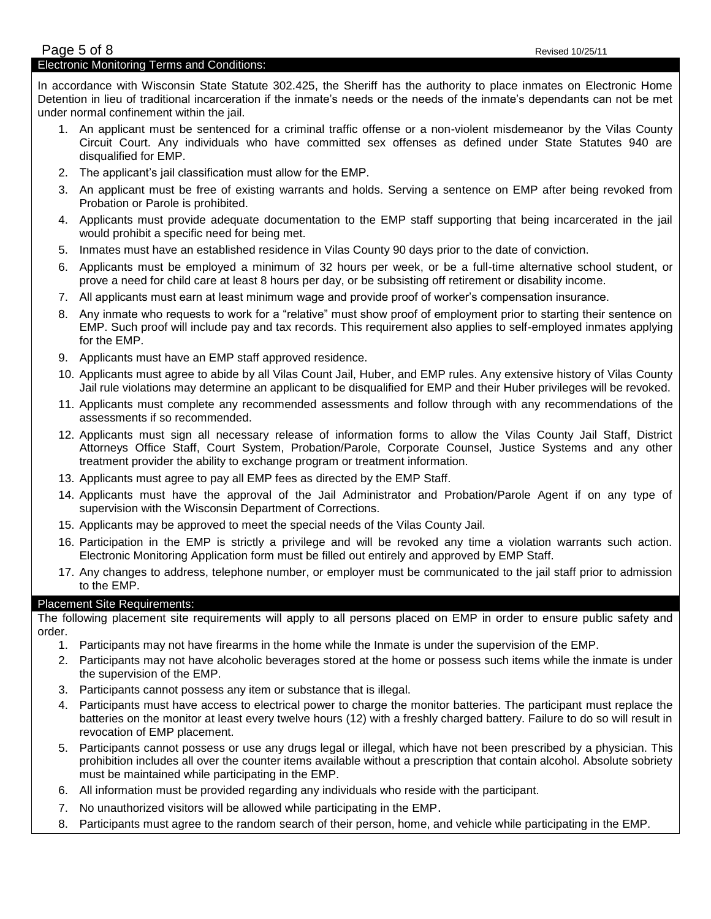In accordance with Wisconsin State Statute 302.425, the Sheriff has the authority to place inmates on Electronic Home Detention in lieu of traditional incarceration if the inmate's needs or the needs of the inmate's dependants can not be met under normal confinement within the jail.

- 1. An applicant must be sentenced for a criminal traffic offense or a non-violent misdemeanor by the Vilas County Circuit Court. Any individuals who have committed sex offenses as defined under State Statutes 940 are disqualified for EMP.
- 2. The applicant's jail classification must allow for the EMP.
- 3. An applicant must be free of existing warrants and holds. Serving a sentence on EMP after being revoked from Probation or Parole is prohibited.
- 4. Applicants must provide adequate documentation to the EMP staff supporting that being incarcerated in the jail would prohibit a specific need for being met.
- 5. Inmates must have an established residence in Vilas County 90 days prior to the date of conviction.
- 6. Applicants must be employed a minimum of 32 hours per week, or be a full-time alternative school student, or prove a need for child care at least 8 hours per day, or be subsisting off retirement or disability income.
- 7. All applicants must earn at least minimum wage and provide proof of worker's compensation insurance.
- 8. Any inmate who requests to work for a "relative" must show proof of employment prior to starting their sentence on EMP. Such proof will include pay and tax records. This requirement also applies to self-employed inmates applying for the EMP.
- 9. Applicants must have an EMP staff approved residence.
- 10. Applicants must agree to abide by all Vilas Count Jail, Huber, and EMP rules. Any extensive history of Vilas County Jail rule violations may determine an applicant to be disqualified for EMP and their Huber privileges will be revoked.
- 11. Applicants must complete any recommended assessments and follow through with any recommendations of the assessments if so recommended.
- 12. Applicants must sign all necessary release of information forms to allow the Vilas County Jail Staff, District Attorneys Office Staff, Court System, Probation/Parole, Corporate Counsel, Justice Systems and any other treatment provider the ability to exchange program or treatment information.
- 13. Applicants must agree to pay all EMP fees as directed by the EMP Staff.
- 14. Applicants must have the approval of the Jail Administrator and Probation/Parole Agent if on any type of supervision with the Wisconsin Department of Corrections.
- 15. Applicants may be approved to meet the special needs of the Vilas County Jail.
- 16. Participation in the EMP is strictly a privilege and will be revoked any time a violation warrants such action. Electronic Monitoring Application form must be filled out entirely and approved by EMP Staff.
- 17. Any changes to address, telephone number, or employer must be communicated to the jail staff prior to admission to the EMP.

# Placement Site Requirements:

The following placement site requirements will apply to all persons placed on EMP in order to ensure public safety and order.

- 1. Participants may not have firearms in the home while the Inmate is under the supervision of the EMP.
- 2. Participants may not have alcoholic beverages stored at the home or possess such items while the inmate is under the supervision of the EMP.
- 3. Participants cannot possess any item or substance that is illegal.
- 4. Participants must have access to electrical power to charge the monitor batteries. The participant must replace the batteries on the monitor at least every twelve hours (12) with a freshly charged battery. Failure to do so will result in revocation of EMP placement.
- 5. Participants cannot possess or use any drugs legal or illegal, which have not been prescribed by a physician. This prohibition includes all over the counter items available without a prescription that contain alcohol. Absolute sobriety must be maintained while participating in the EMP.
- 6. All information must be provided regarding any individuals who reside with the participant.
- 7. No unauthorized visitors will be allowed while participating in the EMP.
- 8. Participants must agree to the random search of their person, home, and vehicle while participating in the EMP.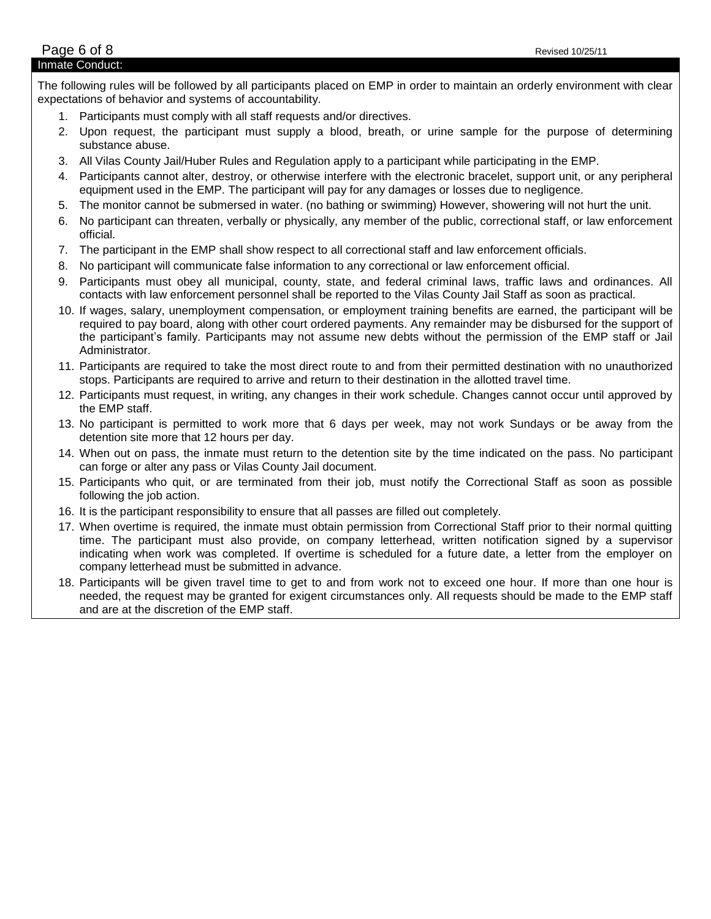The following rules will be followed by all participants placed on EMP in order to maintain an orderly environment with clear expectations of behavior and systems of accountability.

- 1. Participants must comply with all staff requests and/or directives.
- 2. Upon request, the participant must supply a blood, breath, or urine sample for the purpose of determining substance abuse.
- 3. All Vilas County Jail/Huber Rules and Regulation apply to a participant while participating in the EMP.
- 4. Participants cannot alter, destroy, or otherwise interfere with the electronic bracelet, support unit, or any peripheral equipment used in the EMP. The participant will pay for any damages or losses due to negligence.
- 5. The monitor cannot be submersed in water. (no bathing or swimming) However, showering will not hurt the unit.
- 6. No participant can threaten, verbally or physically, any member of the public, correctional staff, or law enforcement official.
- 7. The participant in the EMP shall show respect to all correctional staff and law enforcement officials.
- 8. No participant will communicate false information to any correctional or law enforcement official.
- 9. Participants must obey all municipal, county, state, and federal criminal laws, traffic laws and ordinances. All contacts with law enforcement personnel shall be reported to the Vilas County Jail Staff as soon as practical.
- 10. If wages, salary, unemployment compensation, or employment training benefits are earned, the participant will be required to pay board, along with other court ordered payments. Any remainder may be disbursed for the support of the participant's family. Participants may not assume new debts without the permission of the EMP staff or Jail Administrator.
- 11. Participants are required to take the most direct route to and from their permitted destination with no unauthorized stops. Participants are required to arrive and return to their destination in the allotted travel time.
- 12. Participants must request, in writing, any changes in their work schedule. Changes cannot occur until approved by the EMP staff.
- 13. No participant is permitted to work more that 6 days per week, may not work Sundays or be away from the detention site more that 12 hours per day.
- 14. When out on pass, the inmate must return to the detention site by the time indicated on the pass. No participant can forge or alter any pass or Vilas County Jail document.
- 15. Participants who quit, or are terminated from their job, must notify the Correctional Staff as soon as possible following the job action.
- 16. It is the participant responsibility to ensure that all passes are filled out completely.
- 17. When overtime is required, the inmate must obtain permission from Correctional Staff prior to their normal quitting time. The participant must also provide, on company letterhead, written notification signed by a supervisor indicating when work was completed. If overtime is scheduled for a future date, a letter from the employer on company letterhead must be submitted in advance.
- 18. Participants will be given travel time to get to and from work not to exceed one hour. If more than one hour is needed, the request may be granted for exigent circumstances only. All requests should be made to the EMP staff and are at the discretion of the EMP staff.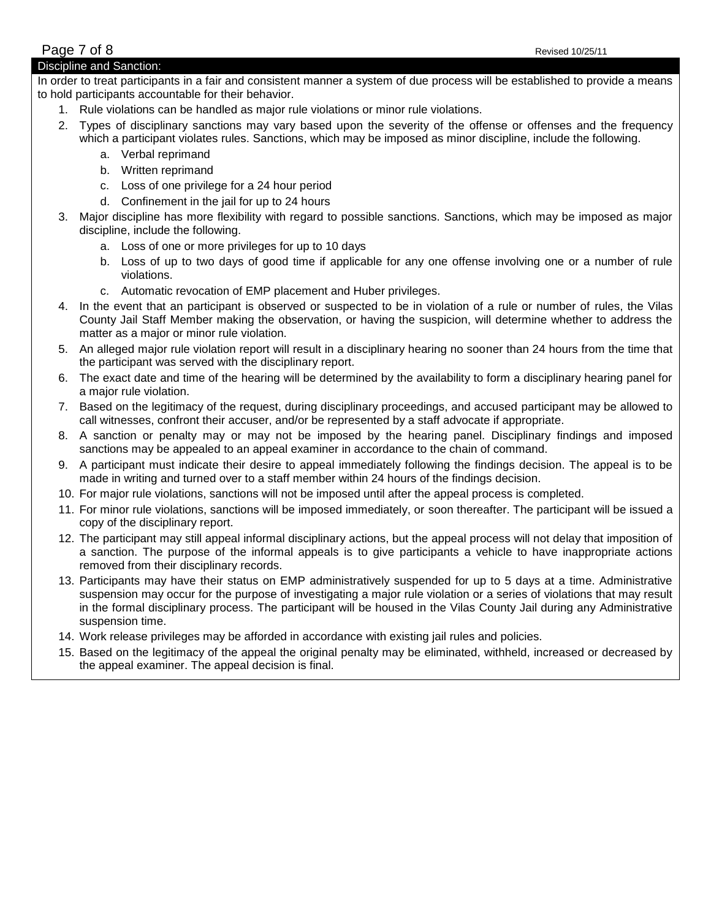## **Page 7 of 8** Revised 10/25/11 Discipline and Sanction:

In order to treat participants in a fair and consistent manner a system of due process will be established to provide a means to hold participants accountable for their behavior.

- 1. Rule violations can be handled as major rule violations or minor rule violations.
- 2. Types of disciplinary sanctions may vary based upon the severity of the offense or offenses and the frequency which a participant violates rules. Sanctions, which may be imposed as minor discipline, include the following.
	- a. Verbal reprimand
	- b. Written reprimand
	- c. Loss of one privilege for a 24 hour period
	- d. Confinement in the jail for up to 24 hours
- 3. Major discipline has more flexibility with regard to possible sanctions. Sanctions, which may be imposed as major discipline, include the following.
	- a. Loss of one or more privileges for up to 10 days
	- b. Loss of up to two days of good time if applicable for any one offense involving one or a number of rule violations.
	- c. Automatic revocation of EMP placement and Huber privileges.
- 4. In the event that an participant is observed or suspected to be in violation of a rule or number of rules, the Vilas County Jail Staff Member making the observation, or having the suspicion, will determine whether to address the matter as a major or minor rule violation.
- 5. An alleged major rule violation report will result in a disciplinary hearing no sooner than 24 hours from the time that the participant was served with the disciplinary report.
- 6. The exact date and time of the hearing will be determined by the availability to form a disciplinary hearing panel for a major rule violation.
- 7. Based on the legitimacy of the request, during disciplinary proceedings, and accused participant may be allowed to call witnesses, confront their accuser, and/or be represented by a staff advocate if appropriate.
- 8. A sanction or penalty may or may not be imposed by the hearing panel. Disciplinary findings and imposed sanctions may be appealed to an appeal examiner in accordance to the chain of command.
- 9. A participant must indicate their desire to appeal immediately following the findings decision. The appeal is to be made in writing and turned over to a staff member within 24 hours of the findings decision.
- 10. For major rule violations, sanctions will not be imposed until after the appeal process is completed.
- 11. For minor rule violations, sanctions will be imposed immediately, or soon thereafter. The participant will be issued a copy of the disciplinary report.
- 12. The participant may still appeal informal disciplinary actions, but the appeal process will not delay that imposition of a sanction. The purpose of the informal appeals is to give participants a vehicle to have inappropriate actions removed from their disciplinary records.
- 13. Participants may have their status on EMP administratively suspended for up to 5 days at a time. Administrative suspension may occur for the purpose of investigating a major rule violation or a series of violations that may result in the formal disciplinary process. The participant will be housed in the Vilas County Jail during any Administrative suspension time.
- 14. Work release privileges may be afforded in accordance with existing jail rules and policies.
- 15. Based on the legitimacy of the appeal the original penalty may be eliminated, withheld, increased or decreased by the appeal examiner. The appeal decision is final.